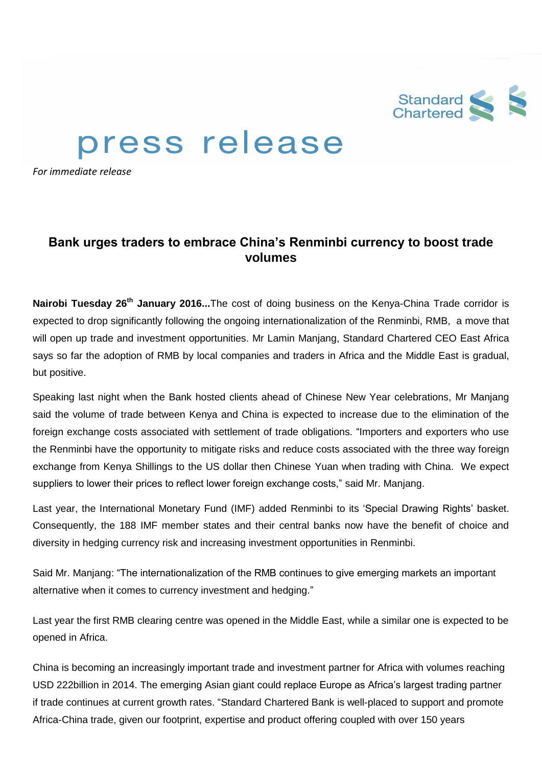

## press release

*For immediate release*

## **Bank urges traders to embrace China's Renminbi currency to boost trade volumes**

**Nairobi Tuesday 26th January 2016...**The cost of doing business on the Kenya-China Trade corridor is expected to drop significantly following the ongoing internationalization of the Renminbi, RMB, a move that will open up trade and investment opportunities. Mr Lamin Manjang, Standard Chartered CEO East Africa says so far the adoption of RMB by local companies and traders in Africa and the Middle East is gradual, but positive.

Speaking last night when the Bank hosted clients ahead of Chinese New Year celebrations, Mr Manjang said the volume of trade between Kenya and China is expected to increase due to the elimination of the foreign exchange costs associated with settlement of trade obligations. "Importers and exporters who use the Renminbi have the opportunity to mitigate risks and reduce costs associated with the three way foreign exchange from Kenya Shillings to the US dollar then Chinese Yuan when trading with China. We expect suppliers to lower their prices to reflect lower foreign exchange costs," said Mr. Manjang.

Last year, the International Monetary Fund (IMF) added Renminbi to its 'Special Drawing Rights' basket. Consequently, the 188 IMF member states and their central banks now have the benefit of choice and diversity in hedging currency risk and increasing investment opportunities in Renminbi.

Said Mr. Manjang: "The internationalization of the RMB continues to give emerging markets an important alternative when it comes to currency investment and hedging."

Last year the first RMB clearing centre was opened in the Middle East, while a similar one is expected to be opened in Africa.

China is becoming an increasingly important trade and investment partner for Africa with volumes reaching USD 222billion in 2014. The emerging Asian giant could replace Europe as Africa's largest trading partner if trade continues at current growth rates. "Standard Chartered Bank is well-placed to support and promote Africa-China trade, given our footprint, expertise and product offering coupled with over 150 years